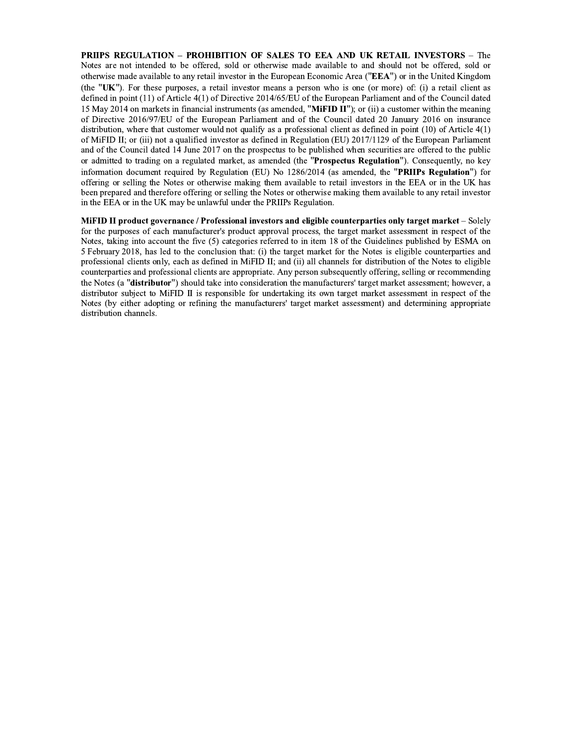PRIIPS REGULATION - PROHIBITION OF SALES TO EEA AND UK RETAIL INVESTORS - The Notes are not intended to be offered, sold or otherwise made available to and should not be offered, sold or otherwise made available to any retail investor in the European Economic Area ("EEA") or in the United Kingdom (the "UK"). For these purposes, a retail investor means a person who is one (or more) of: (i) a retail client as defined in point (11) of Article 4(1) of Directive 2014/65/EU of the European Parliament and of the Council dated 15 May 2014 on markets in financial instruments (as amended, "MiFID II"); or (ii) a customer within the meaning of Directive 2016/97/EU of the European Parliament and of the Council dated 20 January 2016 on insurance distribution, where that customer would not qualify as a professional client as defined in point  $(10)$  of Article  $4(1)$ of MiFID II; or (iii) not a qualified investor as defined in Regulation (EU) 2017/1129 of the European Parliament and of the Council dated 14 June 2017 on the prospectus to be published when securities are offered to the public or admitted to trading on a regulated market, as amended (the "Prospectus Regulation"). Consequently, no key information document required by Regulation (EU) No 1286/2014 (as amended, the "PRIIPs Regulation") for offering or selling the Notes or otherwise making them available to retail investors in the EEA or in the UK has been prepared and therefore offering or selling the Notes or otherwise making them available to any retail investor in the EEA or in the UK may be unlawful under the PRIIPs Regulation.

MiFID II product governance / Professional investors and eligible counterparties only target market – Solely for the purposes of each manufacturer's product approval process, the target market assessment in respect of the Notes, taking into account the five (5) categories referred to in item 18 of the Guidelines published by ESMA on 5 February 2018, has led to the conclusion that: (i) the target market for the Notes is eligible counterparties and professional clients only, each as defined in MiFID II; and (ii) all channels for distribution of the Notes to eligible counterparties and professional clients are appropriate. Any person subsequently offering, selling or recommending the Notes (a "distributor") should take into consideration the manufacturers' target market assessment; however, a distributor subject to MiFID II is responsible for undertaking its own target market assessment in respect of the Notes (by either adopting or refining the manufacturers' target market assessment) and determining appropriate distribution channels.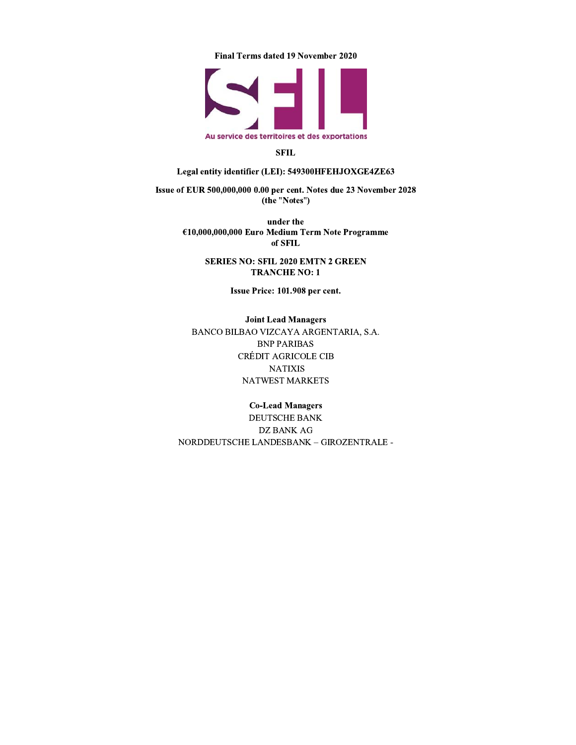Final Terms dated 19 November 2020



## **SFIL**

# Legal entity identifier (LEI): 549300HFEHJOXGE4ZE63

Issue of EUR 500,000,000 0.00 per cent. Notes due 23 November 2028 (the "Notes")

> under the €10,000,000,000 Euro Medium Term Note Programme of SFIL

> > **SERIES NO: SFIL 2020 EMTN 2 GREEN TRANCHE NO: 1**

> > > Issue Price: 101.908 per cent.

**Joint Lead Managers** BANCO BILBAO VIZCAYA ARGENTARIA, S.A. **BNP PARIBAS** CRÉDIT AGRICOLE CIB **NATIXIS** NATWEST MARKETS

# **Co-Lead Managers**

DEUTSCHE BANK **DZ BANK AG** NORDDEUTSCHE LANDESBANK - GIROZENTRALE -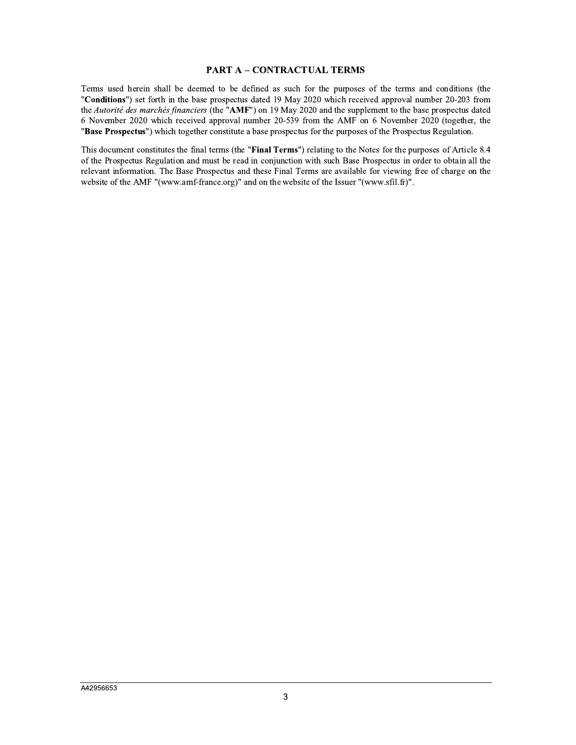# **PART A - CONTRACTUAL TERMS**

Terms used herein shall be deemed to be defined as such for the purposes of the terms and conditions (the "Conditions") set forth in the base prospectus dated 19 May 2020 which received approval number 20-203 from the Autorité des marchés financiers (the "AMF") on 19 May 2020 and the supplement to the base prospectus dated 6 November 2020 which received approval number 20-539 from the AMF on 6 November 2020 (together, the "Base Prospectus") which together constitute a base prospectus for the purposes of the Prospectus Regulation.

This document constitutes the final terms (the "Final Terms") relating to the Notes for the purposes of Article 8.4 of the Prospectus Regulation and must be read in conjunction with such Base Prospectus in order to obtain all the relevant information. The Base Prospectus and these Final Terms are available for viewing free of charge on the website of the AMF "(www.amf-france.org)" and on the website of the Issuer "(www.sfil.fr)".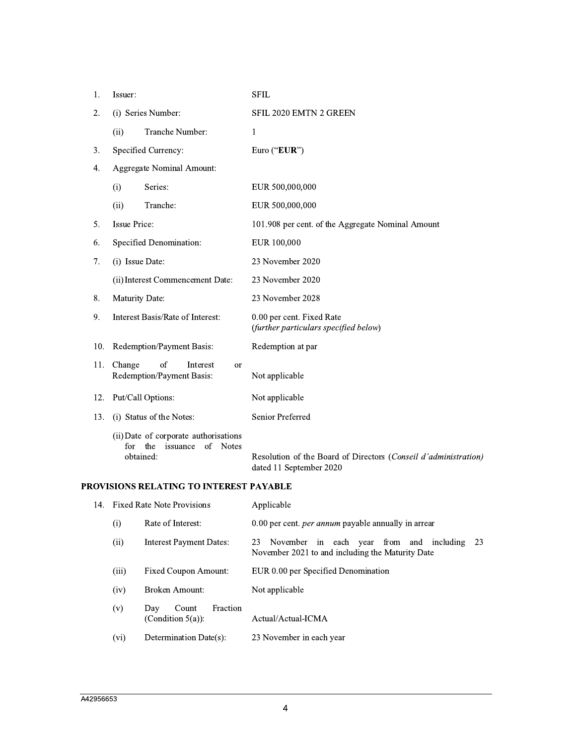| 1.  | Issuer:                                                     |                                                                      | <b>SFIL</b>                                                                                |
|-----|-------------------------------------------------------------|----------------------------------------------------------------------|--------------------------------------------------------------------------------------------|
| 2.  | (i) Series Number:                                          |                                                                      | <b>SFIL 2020 EMTN 2 GREEN</b>                                                              |
|     | (ii)                                                        | Tranche Number:                                                      | 1                                                                                          |
| 3.  | Specified Currency:                                         |                                                                      | Euro ("EUR")                                                                               |
| 4.  | <b>Aggregate Nominal Amount:</b>                            |                                                                      |                                                                                            |
|     | (i)                                                         | Series:                                                              | EUR 500,000,000                                                                            |
|     | (ii)                                                        | Tranche:                                                             | EUR 500,000,000                                                                            |
| 5.  | <b>Issue Price:</b>                                         |                                                                      | 101.908 per cent. of the Aggregate Nominal Amount                                          |
| 6.  | Specified Denomination:                                     |                                                                      | EUR 100,000                                                                                |
| 7.  | (i) Issue Date:                                             |                                                                      | 23 November 2020                                                                           |
|     | (ii) Interest Commencement Date:                            |                                                                      | 23 November 2020                                                                           |
| 8.  | Maturity Date:                                              |                                                                      | 23 November 2028                                                                           |
| 9.  | Interest Basis/Rate of Interest:                            |                                                                      | 0.00 per cent. Fixed Rate<br>(further particulars specified below)                         |
| 10. | Redemption/Payment Basis:                                   |                                                                      | Redemption at par                                                                          |
| 11. | Change<br>of<br>Interest<br>or<br>Redemption/Payment Basis: |                                                                      | Not applicable                                                                             |
| 12. | Put/Call Options:                                           |                                                                      | Not applicable                                                                             |
| 13. |                                                             | (i) Status of the Notes:                                             | Senior Preferred                                                                           |
|     | for<br>obtained:                                            | (ii) Date of corporate authorisations<br>the<br>of Notes<br>issuance | Resolution of the Board of Directors (Conseil d'administration)<br>dated 11 September 2020 |

# PROVISIONS RELATING TO INTEREST PAYABLE

| 14. Fixed Rate Note Provisions |                                                  | Applicable                                                                                               |
|--------------------------------|--------------------------------------------------|----------------------------------------------------------------------------------------------------------|
| (i)                            | Rate of Interest:                                | 0.00 per cent. <i>per annum</i> payable annually in arrear                                               |
| (ii)                           | <b>Interest Payment Dates:</b>                   | 23<br>November in each year from and including<br>23<br>November 2021 to and including the Maturity Date |
| (iii)                          | Fixed Coupon Amount:                             | EUR 0.00 per Specified Denomination                                                                      |
| (iv)                           | Broken Amount:                                   | Not applicable                                                                                           |
| (v)                            | Fraction<br>Day<br>Count<br>(Condition $5(a)$ ): | Actual/Actual-ICMA                                                                                       |
| (vi)                           | Determination Date(s):                           | 23 November in each year                                                                                 |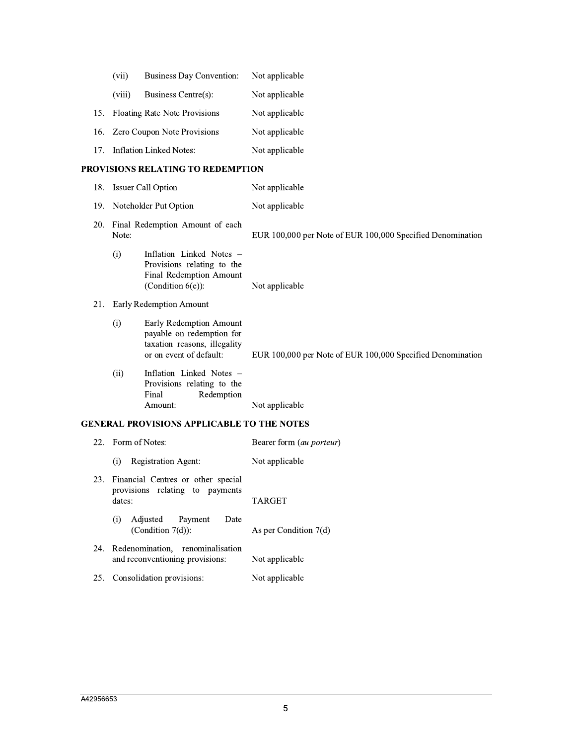|                                          | (vii)  | <b>Business Day Convention:</b>   | Not applicable |
|------------------------------------------|--------|-----------------------------------|----------------|
|                                          | (viii) | Business Centre(s):               | Not applicable |
|                                          |        | 15. Floating Rate Note Provisions | Not applicable |
|                                          |        | 16. Zero Coupon Note Provisions   | Not applicable |
| 17 <sub>1</sub>                          |        | Inflation Linked Notes:           | Not applicable |
| <b>PROVISIONS RELATING TO REDEMPTION</b> |        |                                   |                |
| 18.                                      |        | <b>Issuer Call Option</b>         | Not applicable |

|            | 10. 199401 Call Option                   |                                                                                                                 | THE REPLICATION                                            |
|------------|------------------------------------------|-----------------------------------------------------------------------------------------------------------------|------------------------------------------------------------|
| 19.        | Noteholder Put Option                    |                                                                                                                 | Not applicable                                             |
| <b>20.</b> | Final Redemption Amount of each<br>Note: |                                                                                                                 | EUR 100,000 per Note of EUR 100,000 Specified Denomination |
|            | (i)                                      | Inflation Linked Notes –<br>Provisions relating to the<br>Final Redemption Amount<br>(Condition $6(e)$ ):       | Not applicable                                             |
| 21.        | Early Redemption Amount                  |                                                                                                                 |                                                            |
|            | (i)                                      | Early Redemption Amount<br>payable on redemption for<br>taxation reasons, illegality<br>or on event of default: | EUR 100,000 per Note of EUR 100,000 Specified Denomination |
|            | (ii)                                     | Inflation Linked Notes -<br>Provisions relating to the<br>Redemption<br>Final                                   |                                                            |
|            |                                          | Amount:                                                                                                         | Not applicable                                             |

# GENERAL PROVISIONS APPLICABLE TO THE NOTES

|     | 22. Form of Notes:                                                              | Bearer form <i>(au porteur)</i> |
|-----|---------------------------------------------------------------------------------|---------------------------------|
|     | <b>Registration Agent:</b><br>(i)                                               | Not applicable                  |
| 23. | Financial Centres or other special<br>provisions relating to payments<br>dates: | <b>TARGET</b>                   |
|     | Adjusted Payment<br>Date<br>(i)<br>(Condition $7(d)$ ):                         | As per Condition $7(d)$         |
| 24. | Redenomination, renominalisation<br>and reconventioning provisions:             | Not applicable                  |
|     | 25. Consolidation provisions:                                                   | Not applicable                  |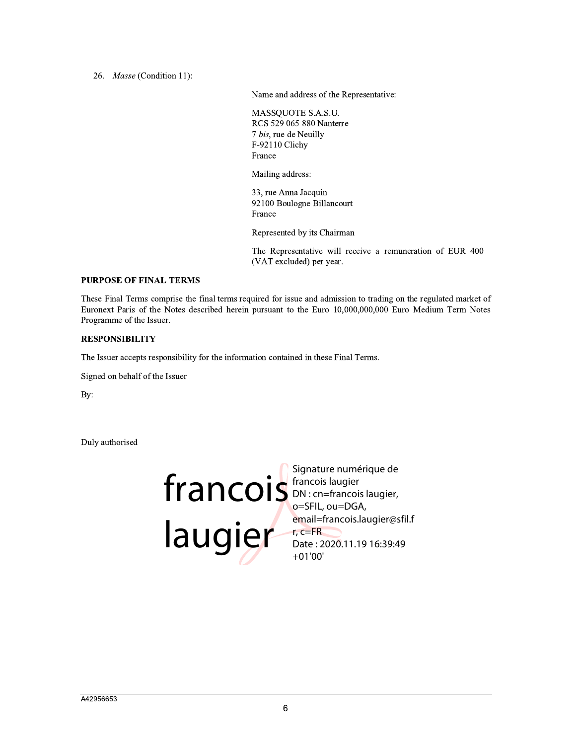26. Masse (Condition 11):

Name and address of the Representative:

MASSQUOTE S.A.S.U. RCS 529 065 880 Nanterre 7 bis, rue de Neuilly F-92110 Clichy France

Mailing address:

33, rue Anna Jacquin 92100 Boulogne Billancourt France

Represented by its Chairman

The Representative will receive a remuneration of EUR 400 (VAT excluded) per year.

## **PURPOSE OF FINAL TERMS**

These Final Terms comprise the final terms required for issue and admission to trading on the regulated market of Euronext Paris of the Notes described herein pursuant to the Euro 10,000,000,000 Euro Medium Term Notes Programme of the Issuer.

# **RESPONSIBILITY**

The Issuer accepts responsibility for the information contained in these Final Terms.

Signed on behalf of the Issuer

By:

Duly authorised

# Francois laugier<br>
Iaugier<br>
Jon: cn=francois laugier,<br>
o=SFIL, ou=DGA,<br>
email=francois.laugier@st<br>
Date: 2020.11.19 16:39:49

email=francois.laugier@sfil.f Date: 2020.11.19 16:39:49  $+01'00'$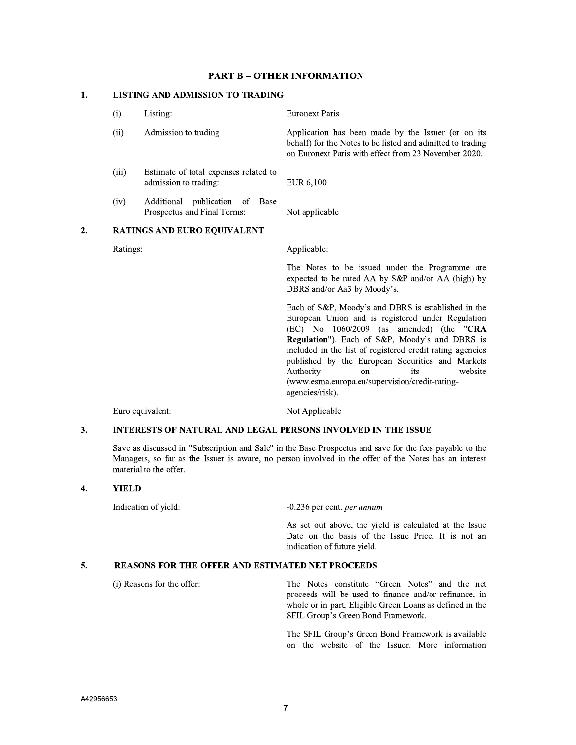# **PART B - OTHER INFORMATION OTHER I**<br>RADING

# PART B – O'<br>1. LISTING AND ADMISSION TO TRAI

| (i)      | Listing:                                                         | <b>Euronext Paris</b>                                                                                                                                                                                                                                                                                                                                                                                                                            |
|----------|------------------------------------------------------------------|--------------------------------------------------------------------------------------------------------------------------------------------------------------------------------------------------------------------------------------------------------------------------------------------------------------------------------------------------------------------------------------------------------------------------------------------------|
| (ii)     | Admission to trading                                             | Application has been made by the Issuer (or on its<br>behalf) for the Notes to be listed and admitted to trading<br>on Euronext Paris with effect from 23 November 2020.                                                                                                                                                                                                                                                                         |
| (iii)    | Estimate of total expenses related to<br>admission to trading:   | EUR 6,100                                                                                                                                                                                                                                                                                                                                                                                                                                        |
| (iv)     | Additional publication of<br>Base<br>Prospectus and Final Terms: | Not applicable                                                                                                                                                                                                                                                                                                                                                                                                                                   |
|          | <b>RATINGS AND EURO EQUIVALENT</b>                               |                                                                                                                                                                                                                                                                                                                                                                                                                                                  |
| Ratings: |                                                                  | Applicable:                                                                                                                                                                                                                                                                                                                                                                                                                                      |
|          |                                                                  | The Notes to be issued under the Programme are<br>expected to be rated AA by S&P and/or AA (high) by<br>DBRS and/or Aa3 by Moody's.                                                                                                                                                                                                                                                                                                              |
|          |                                                                  | Each of S&P, Moody's and DBRS is established in the<br>European Union and is registered under Regulation<br>$(EC)$ No $1060/2009$ (as amended) (the "CRA<br>Regulation"). Each of S&P, Moody's and DBRS is<br>included in the list of registered credit rating agencies<br>published by the European Securities and Markets<br>Authority<br>website<br>its<br><sub>on</sub><br>(www.esma.europa.eu/supervision/credit-rating-<br>agencies/risk). |

Furo equivalent: Not Applicable

# Euro equivalent:<br>
3. INTERESTS OF NATURAL AND LEGAL PERSONS INVOLVED IN THE ISSUE

Save as discussed in "Subscription and Sale" in the Base Prospectus and save for the fees payable to the Managers, so far as the Issuer is aware, no person involved in the offer of the Notes has an interest material to the offer. Managers, so fa<br>
material to the o<br> **4.** YIELD

 $2.$ 

Indication of yield:  $-0.236$  per cent. *per annum* 

As set out above, the yield is calculated at the Issue Date on the basis of the Issue Price. It is not an indication of future yield.

# Date on the basis of the Issue indication of future yield.<br>
5. REASONS FOR THE OFFER AND ESTIMATED NET PROCEEDS

(i) Reasons for the offer: The Notes constitute "Green Notes" and the net proceeds will be used to finance and/or refinance, in whole or in part, Eligible Green Loans as defined in the SFIL Group's Green Bond Framework.

> The SFIL Group's Green Bond Framework is available on the website of the Issuer. More information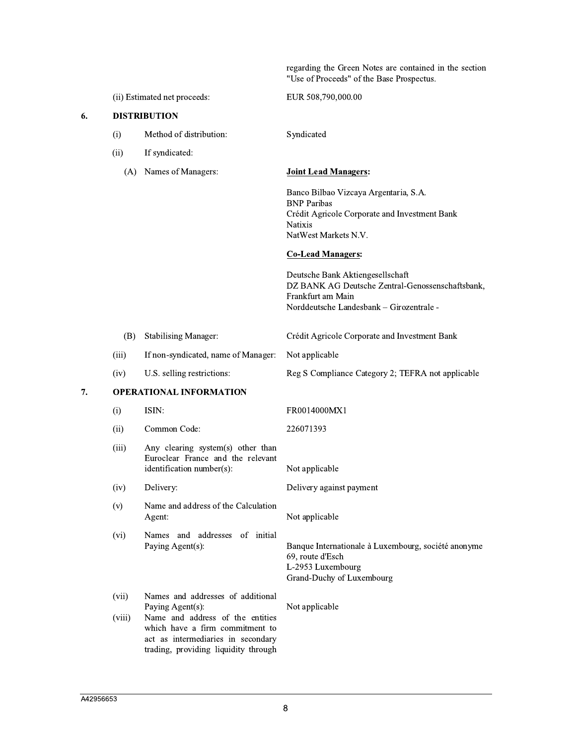regarding the Green Notes are contained in the section "Use of Proceeds" of the Base Prospectus.

| (ii) Estimated net proceeds: |  |
|------------------------------|--|
| <b>DISTRIBUTION</b>          |  |

- $(i)$ Method of distribution:
- $(ii)$ If syndicated:

6.

(A) Names of Managers:

Banco Bilbao Vizcaya Argentaria, S.A. **BNP** Paribas Crédit Agricole Corporate and Investment Bank **Natixis** NatWest Markets N.V.

## **Co-Lead Managers:**

EUR 508,790,000.00

**Joint Lead Managers:** 

Syndicated

Deutsche Bank Aktiengesellschaft DZ BANK AG Deutsche Zentral-Genossenschaftsbank, Frankfurt am Main Norddeutsche Landesbank - Girozentrale -

Reg S Compliance Category 2; TEFRA not applicable

- (B) Stabilising Manager: Crédit Agricole Corporate and Investment Bank
	- If non-syndicated, name of Manager: Not applicable
- $(iv)$ U.S. selling restrictions:

### 7. **OPERATIONAL INFORMATION**

 $(iii)$ 

| (i)             | ISIN:                                                                                                                                                                                                      | FR0014000MX1                                                                                                              |
|-----------------|------------------------------------------------------------------------------------------------------------------------------------------------------------------------------------------------------------|---------------------------------------------------------------------------------------------------------------------------|
| (ii)            | Common Code:                                                                                                                                                                                               | 226071393                                                                                                                 |
| (iii)           | Any clearing system(s) other than<br>Euroclear France and the relevant<br>identification number(s):                                                                                                        | Not applicable                                                                                                            |
| (iv)            | Delivery:                                                                                                                                                                                                  | Delivery against payment                                                                                                  |
| (v)             | Name and address of the Calculation<br>Agent:                                                                                                                                                              | Not applicable                                                                                                            |
| (vi)            | and addresses of initial<br>Names<br>Paying Agent(s):                                                                                                                                                      | Banque Internationale à Luxembourg, société anonyme<br>69, route d'Esch<br>L-2953 Luxembourg<br>Grand-Duchy of Luxembourg |
| (vii)<br>(viii) | Names and addresses of additional<br>Paying Agent(s):<br>Name and address of the entities<br>which have a firm commitment to<br>act as intermediaries in secondary<br>trading, providing liquidity through | Not applicable                                                                                                            |